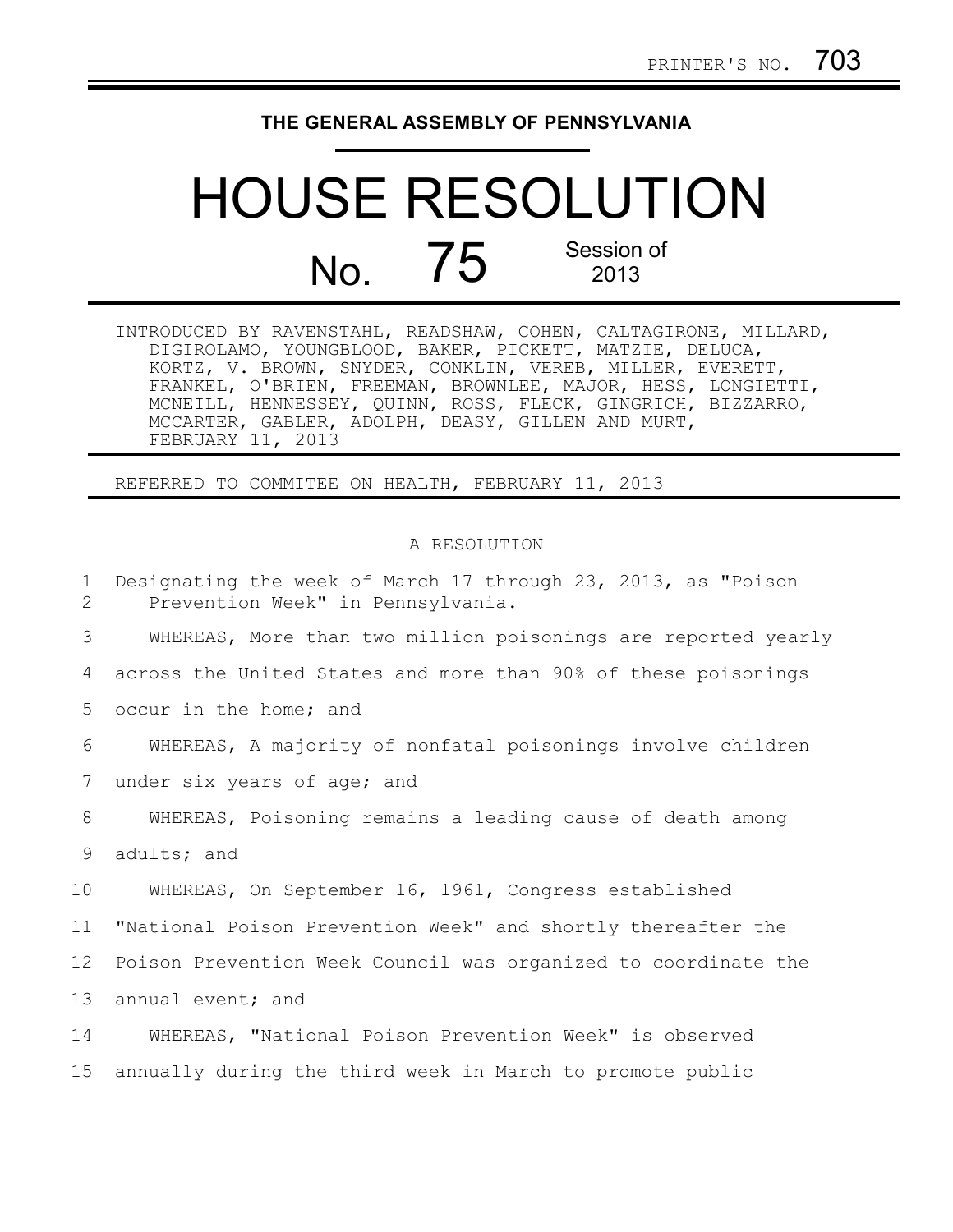## **THE GENERAL ASSEMBLY OF PENNSYLVANIA**

## HOUSE RESOLUTION No. 75 Session of 2013

| INTRODUCED BY RAVENSTAHL, READSHAW, COHEN, CALTAGIRONE, MILLARD, |  |
|------------------------------------------------------------------|--|
| DIGIROLAMO, YOUNGBLOOD, BAKER, PICKETT, MATZIE, DELUCA,          |  |
| KORTZ, V. BROWN, SNYDER, CONKLIN, VEREB, MILLER, EVERETT,        |  |
| FRANKEL, O'BRIEN, FREEMAN, BROWNLEE, MAJOR, HESS, LONGIETTI,     |  |
| MCNEILL, HENNESSEY, QUINN, ROSS, FLECK, GINGRICH, BIZZARRO,      |  |
| MCCARTER, GABLER, ADOLPH, DEASY, GILLEN AND MURT,                |  |
| FEBRUARY 11, 2013                                                |  |

REFERRED TO COMMITEE ON HEALTH, FEBRUARY 11, 2013

## A RESOLUTION

| $\mathbf{1}$<br>2 | Designating the week of March 17 through 23, 2013, as "Poison<br>Prevention Week" in Pennsylvania. |
|-------------------|----------------------------------------------------------------------------------------------------|
| 3                 | WHEREAS, More than two million poisonings are reported yearly                                      |
| 4                 | across the United States and more than 90% of these poisonings                                     |
| 5                 | occur in the home; and                                                                             |
| 6                 | WHEREAS, A majority of nonfatal poisonings involve children                                        |
| 7                 | under six years of age; and                                                                        |
| 8                 | WHEREAS, Poisoning remains a leading cause of death among                                          |
| 9                 | adults; and                                                                                        |
| 10                | WHEREAS, On September 16, 1961, Congress established                                               |
| 11                | "National Poison Prevention Week" and shortly thereafter the                                       |
| 12 <sub>2</sub>   | Poison Prevention Week Council was organized to coordinate the                                     |
| 13                | annual event; and                                                                                  |
| 14                | WHEREAS, "National Poison Prevention Week" is observed                                             |
| 15 <sub>1</sub>   | annually during the third week in March to promote public                                          |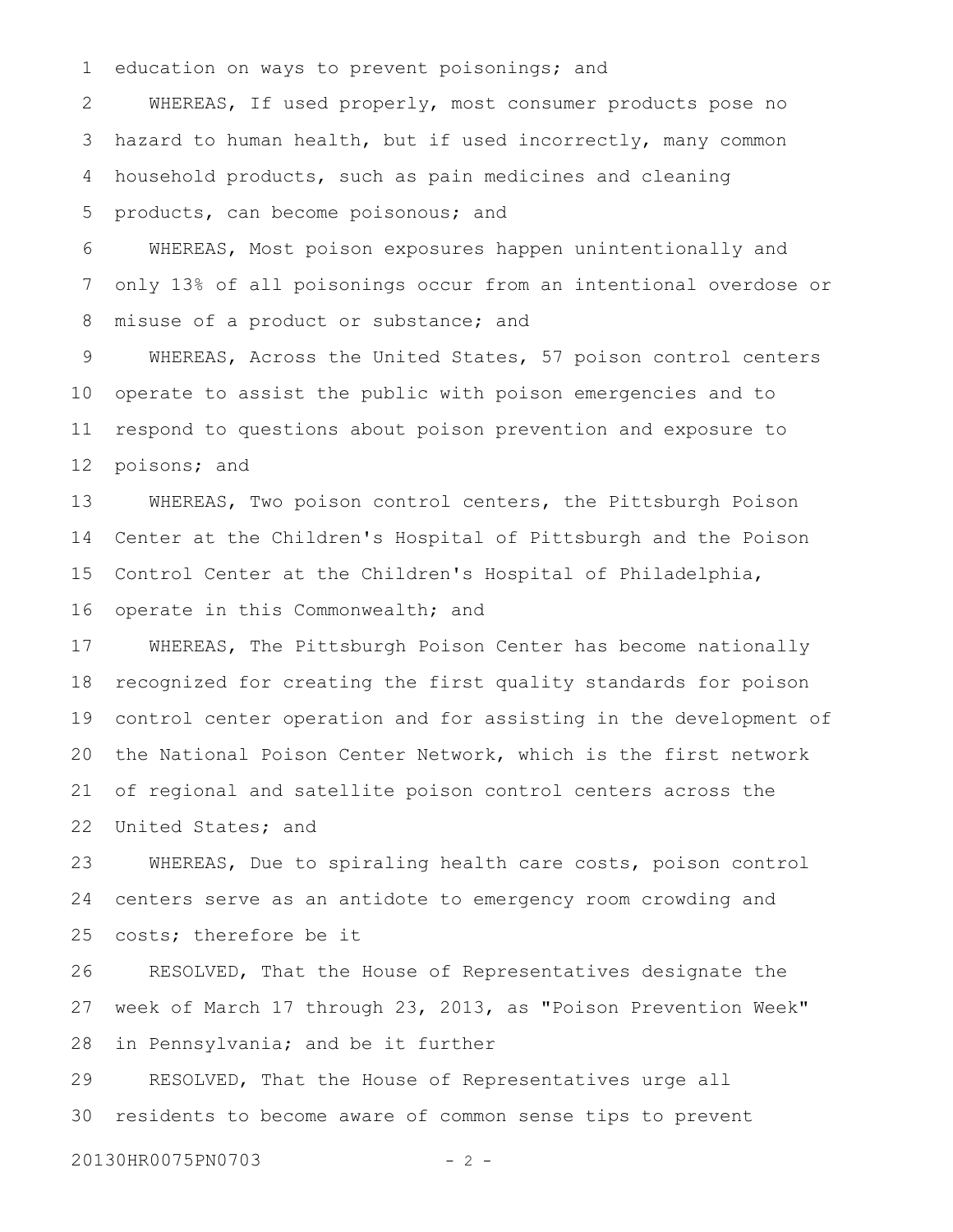education on ways to prevent poisonings; and 1

WHEREAS, If used properly, most consumer products pose no hazard to human health, but if used incorrectly, many common household products, such as pain medicines and cleaning products, can become poisonous; and 2 3 4 5

WHEREAS, Most poison exposures happen unintentionally and only 13% of all poisonings occur from an intentional overdose or misuse of a product or substance; and 6 7 8

WHEREAS, Across the United States, 57 poison control centers operate to assist the public with poison emergencies and to respond to questions about poison prevention and exposure to poisons; and 9 10 11 12

WHEREAS, Two poison control centers, the Pittsburgh Poison Center at the Children's Hospital of Pittsburgh and the Poison Control Center at the Children's Hospital of Philadelphia, operate in this Commonwealth; and 13 14 15 16

WHEREAS, The Pittsburgh Poison Center has become nationally recognized for creating the first quality standards for poison control center operation and for assisting in the development of the National Poison Center Network, which is the first network of regional and satellite poison control centers across the United States; and 17 18 19 20 21 22

WHEREAS, Due to spiraling health care costs, poison control centers serve as an antidote to emergency room crowding and costs; therefore be it 23 24 25

RESOLVED, That the House of Representatives designate the week of March 17 through 23, 2013, as "Poison Prevention Week" in Pennsylvania; and be it further 26 27 28

RESOLVED, That the House of Representatives urge all residents to become aware of common sense tips to prevent 29 30

20130HR0075PN0703 - 2 -